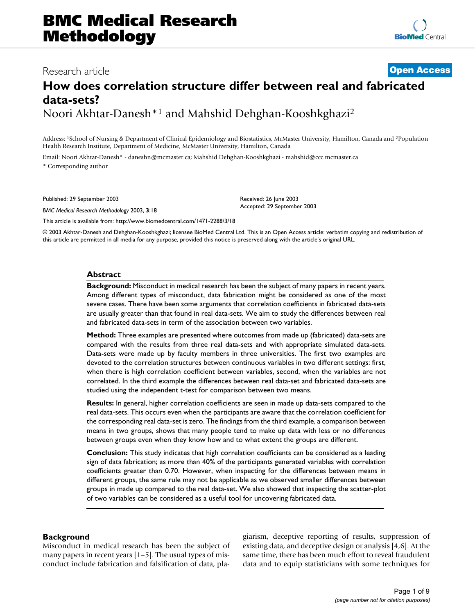# **BMC Medical Research Methodology**

# Research article **[Open Access](http://www.biomedcentral.com/info/about/charter/)**

# **How does correlation structure differ between real and fabricated data-sets?** Noori Akhtar-Danesh\*1 and Mahshid Dehghan-Kooshkghazi2

Address: 1School of Nursing & Department of Clinical Epidemiology and Biostatistics, McMaster University, Hamilton, Canada and 2Population Health Research Institute, Department of Medicine, McMaster University, Hamilton, Canada

Email: Noori Akhtar-Danesh\* - daneshn@mcmaster.ca; Mahshid Dehghan-Kooshkghazi - mahshid@ccc.mcmaster.ca \* Corresponding author

Published: 29 September 2003

*BMC Medical Research Methodology* 2003, **3**:18

Received: 26 June 2003 Accepted: 29 September 2003

[This article is available from: http://www.biomedcentral.com/1471-2288/3/18](http://www.biomedcentral.com/1471-2288/3/18)

© 2003 Akhtar-Danesh and Dehghan-Kooshkghazi; licensee BioMed Central Ltd. This is an Open Access article: verbatim copying and redistribution of this article are permitted in all media for any purpose, provided this notice is preserved along with the article's original URL.

# **Abstract**

**Background:** Misconduct in medical research has been the subject of many papers in recent years. Among different types of misconduct, data fabrication might be considered as one of the most severe cases. There have been some arguments that correlation coefficients in fabricated data-sets are usually greater than that found in real data-sets. We aim to study the differences between real and fabricated data-sets in term of the association between two variables.

**Method:** Three examples are presented where outcomes from made up (fabricated) data-sets are compared with the results from three real data-sets and with appropriate simulated data-sets. Data-sets were made up by faculty members in three universities. The first two examples are devoted to the correlation structures between continuous variables in two different settings: first, when there is high correlation coefficient between variables, second, when the variables are not correlated. In the third example the differences between real data-set and fabricated data-sets are studied using the independent t-test for comparison between two means.

**Results:** In general, higher correlation coefficients are seen in made up data-sets compared to the real data-sets. This occurs even when the participants are aware that the correlation coefficient for the corresponding real data-set is zero. The findings from the third example, a comparison between means in two groups, shows that many people tend to make up data with less or no differences between groups even when they know how and to what extent the groups are different.

**Conclusion:** This study indicates that high correlation coefficients can be considered as a leading sign of data fabrication; as more than 40% of the participants generated variables with correlation coefficients greater than 0.70. However, when inspecting for the differences between means in different groups, the same rule may not be applicable as we observed smaller differences between groups in made up compared to the real data-set. We also showed that inspecting the scatter-plot of two variables can be considered as a useful tool for uncovering fabricated data.

# **Background**

Misconduct in medical research has been the subject of many papers in recent years [1–5]. The usual types of misconduct include fabrication and falsification of data, plagiarism, deceptive reporting of results, suppression of existing data, and deceptive design or analysis [4,6]. At the same time, there has been much effort to reveal fraudulent data and to equip statisticians with some techniques for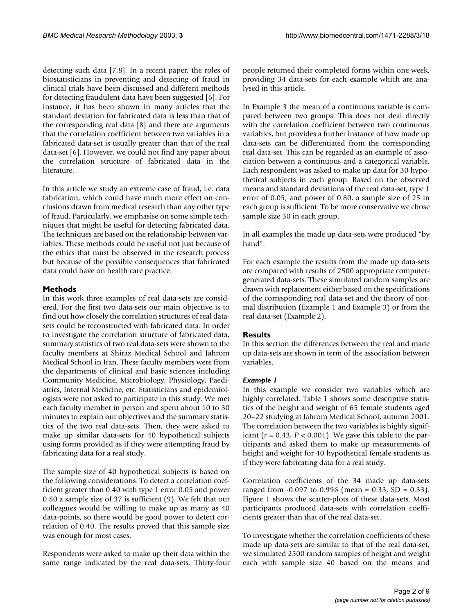detecting such data [7,8]. In a recent paper, the roles of biostatisticians in preventing and detecting of fraud in clinical trials have been discussed and different methods for detecting fraudulent data have been suggested [6]. For instance, it has been shown in many articles that the standard deviation for fabricated data is less than that of the corresponding real data [8] and there are arguments that the correlation coefficient between two variables in a fabricated data-set is usually greater than that of the real data-set [6]. However, we could not find any paper about the correlation structure of fabricated data in the literature.

In this article we study an extreme case of fraud, i.e. data fabrication, which could have much more effect on conclusions drawn from medical research than any other type of fraud. Particularly, we emphasise on some simple techniques that might be useful for detecting fabricated data. The techniques are based on the relationship between variables. These methods could be useful not just because of the ethics that must be observed in the research process but because of the possible consequences that fabricated data could have on health care practice.

# **Methods**

In this work three examples of real data-sets are considered. For the first two data-sets our main objective is to find out how closely the correlation structures of real datasets could be reconstructed with fabricated data. In order to investigate the correlation structure of fabricated data, summary statistics of two real data-sets were shown to the faculty members at Shiraz Medical School and Jahrom Medical School in Iran. These faculty members were from the departments of clinical and basic sciences including Community Medicine, Microbiology, Physiology, Paediatrics, Internal Medicine, etc. Statisticians and epidemiologists were not asked to participate in this study. We met each faculty member in person and spent about 10 to 30 minutes to explain our objectives and the summary statistics of the two real data-sets. Then, they were asked to make up similar data-sets for 40 hypothetical subjects using forms provided as if they were attempting fraud by fabricating data for a real study.

The sample size of 40 hypothetical subjects is based on the following considerations. To detect a correlation coefficient greater than 0.40 with type 1 error 0.05 and power 0.80 a sample size of 37 is sufficient (9). We felt that our colleagues would be willing to make up as many as 40 data-points, so there would be good power to detect correlation of 0.40. The results proved that this sample size was enough for most cases.

Respondents were asked to make up their data within the same range indicated by the real data-sets. Thirty-four

people returned their completed forms within one week, providing 34 data-sets for each example which are analysed in this article.

In Example 3 the mean of a continuous variable is compared between two groups. This does not deal directly with the correlation coefficient between two continuous variables, but provides a further instance of how made up data-sets can be differentiated from the corresponding real data-set. This can be regarded as an example of association between a continuous and a categorical variable. Each respondent was asked to make up data for 30 hypothetical subjects in each group. Based on the observed means and standard deviations of the real data-set, type 1 error of 0.05, and power of 0.80, a sample size of 25 in each group is sufficient. To be more conservative we chose sample size 30 in each group.

In all examples the made up data-sets were produced "by hand".

For each example the results from the made up data-sets are compared with results of 2500 appropriate computergenerated data-sets. These simulated random samples are drawn with replacement either based on the specifications of the corresponding real data-set and the theory of normal distribution (Example 1 and Example 3) or from the real data-set (Example 2).

# **Results**

In this section the differences between the real and made up data-sets are shown in term of the association between variables.

# *Example 1*

In this example we consider two variables which are highly correlated. Table [1](#page-2-0) shows some descriptive statistics of the height and weight of 65 female students aged 20–22 studying at Jahrom Medical School, autumn 2001. The correlation between the two variables is highly significant ( $r = 0.43$ ,  $P < 0.001$ ). We gave this table to the participants and asked them to make up measurements of height and weight for 40 hypothetical female students as if they were fabricating data for a real study.

Correlation coefficients of the 34 made up data-sets ranged from  $-0.097$  to 0.996 (mean = 0.33, SD = 0.33). Figure [1](#page-3-0) shows the scatter-plots of these data-sets. Most participants produced data-sets with correlation coefficients greater than that of the real data-set.

To investigate whether the correlation coefficients of these made up data-sets are similar to that of the real data-set, we simulated 2500 random samples of height and weight each with sample size 40 based on the means and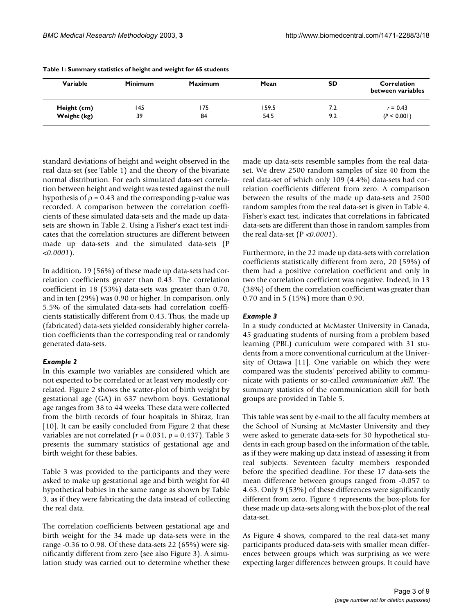| Variable    | <b>Minimum</b> | <b>Maximum</b> | Mean  | <b>SD</b> | <b>Correlation</b><br>between variables |
|-------------|----------------|----------------|-------|-----------|-----------------------------------------|
| Height (cm) | 145            | 175            | 159.5 | 7.2       | $r = 0.43$                              |
| Weight (kg) | 39             | 84             | 54.5  | 9.2       | (P < 0.001)                             |

#### <span id="page-2-0"></span>**Table 1: Summary statistics of height and weight for 65 students**

standard deviations of height and weight observed in the real data-set (see Table [1\)](#page-2-0) and the theory of the bivariate normal distribution. For each simulated data-set correlation between height and weight was tested against the null hypothesis of  $\rho$  = 0.43 and the corresponding p-value was recorded. A comparison between the correlation coefficients of these simulated data-sets and the made up datasets are shown in Table [2](#page-4-0). Using a Fisher's exact test indicates that the correlation structures are different between made up data-sets and the simulated data-sets (P <*0.0001*).

In addition, 19 (56%) of these made up data-sets had correlation coefficients greater than 0.43. The correlation coefficient in 18 (53%) data-sets was greater than 0.70, and in ten (29%) was 0.90 or higher. In comparison, only 5.5% of the simulated data-sets had correlation coefficients statistically different from 0.43. Thus, the made up (fabricated) data-sets yielded considerably higher correlation coefficients than the corresponding real or randomly generated data-sets.

#### *Example 2*

In this example two variables are considered which are not expected to be correlated or at least very modestly correlated. Figure [2](#page-4-1) shows the scatter-plot of birth weight by gestational age (GA) in 637 newborn boys. Gestational age ranges from 38 to 44 weeks. These data were collected from the birth records of four hospitals in Shiraz, Iran [10]. It can be easily concluded from Figure [2](#page-4-1) that these variables are not correlated (*r* = 0.031, *p* = 0.437). Table [3](#page-5-0) presents the summary statistics of gestational age and birth weight for these babies.

Table [3](#page-5-0) was provided to the participants and they were asked to make up gestational age and birth weight for 40 hypothetical babies in the same range as shown by Table [3,](#page-5-0) as if they were fabricating the data instead of collecting the real data.

The correlation coefficients between gestational age and birth weight for the 34 made up data-sets were in the range -0.36 to 0.98. Of these data-sets 22 (65%) were significantly different from zero (see also Figure [3](#page-5-1)). A simulation study was carried out to determine whether these made up data-sets resemble samples from the real dataset. We drew 2500 random samples of size 40 from the real data-set of which only 109 (4.4%) data-sets had correlation coefficients different from zero. A comparison between the results of the made up data-sets and 2500 random samples from the real data-set is given in Table [4.](#page-6-0) Fisher's exact test, indicates that correlations in fabricated data-sets are different than those in random samples from the real data-set (P <*0.0001*).

Furthermore, in the 22 made up data-sets with correlation coefficients statistically different from zero, 20 (59%) of them had a positive correlation coefficient and only in two the correlation coefficient was negative. Indeed, in 13 (38%) of them the correlation coefficient was greater than 0.70 and in 5 (15%) more than 0.90.

# *Example 3*

In a study conducted at McMaster University in Canada, 45 graduating students of nursing from a problem based learning (PBL) curriculum were compared with 31 students from a more conventional curriculum at the University of Ottawa [11]. One variable on which they were compared was the students' perceived ability to communicate with patients or so-called *communication skill*. The summary statistics of the communication skill for both groups are provided in Table [5.](#page-6-1)

This table was sent by e-mail to the all faculty members at the School of Nursing at McMaster University and they were asked to generate data-sets for 30 hypothetical students in each group based on the information of the table, as if they were making up data instead of assessing it from real subjects. Seventeen faculty members responded before the specified deadline. For these 17 data-sets the mean difference between groups ranged from -0.057 to 4.63. Only 9 (53%) of these differences were significantly different from zero. Figure [4](#page-6-2) represents the box-plots for these made up data-sets along with the box-plot of the real data-set.

As Figure [4](#page-6-2) shows, compared to the real data-set many participants produced data-sets with smaller mean differences between groups which was surprising as we were expecting larger differences between groups. It could have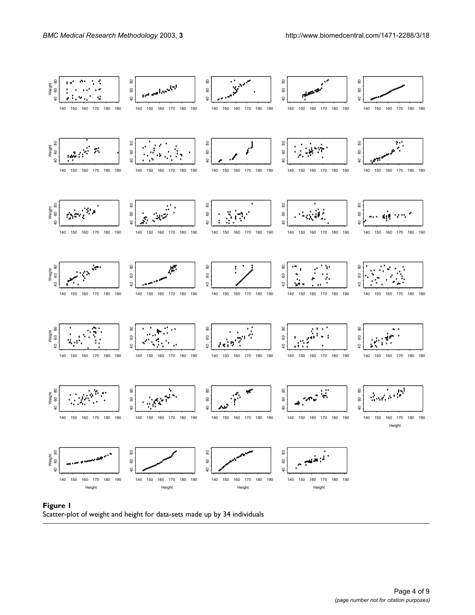<span id="page-3-0"></span>

Figure 1<br>Scatter-plot of weight and height for data-sets made up by 34 individuals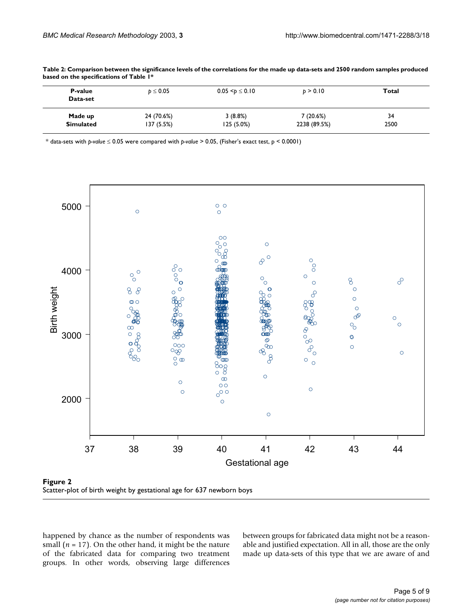| <b>P-value</b><br>Data-set | $p \leq 0.05$ | $0.05 \leq b \leq 0.10$ | p > 0.10     | Total |
|----------------------------|---------------|-------------------------|--------------|-------|
| Made up                    | 24 (70.6%)    | 3(8.8%)                 | 7(20.6%)     | 34    |
| <b>Simulated</b>           | 137 (5.5%)    | 125(5.0%)               | 2238 (89.5%) | 2500  |

<span id="page-4-0"></span>**Table 2: Comparison between the significance levels of the correlations for the made up data-sets and 2500 random samples produced based on the specifications of Table [1](#page-2-0)\***

\* data-sets with *p-value* ≤ 0.05 were compared with *p-value* > 0.05, (Fisher's exact test, p < 0.0001)

<span id="page-4-1"></span>

Scatter-plot of birth weight by gestational age for 637 newborn boys

happened by chance as the number of respondents was small  $(n = 17)$ . On the other hand, it might be the nature of the fabricated data for comparing two treatment groups. In other words, observing large differences

between groups for fabricated data might not be a reasonable and justified expectation. All in all, those are the only made up data-sets of this type that we are aware of and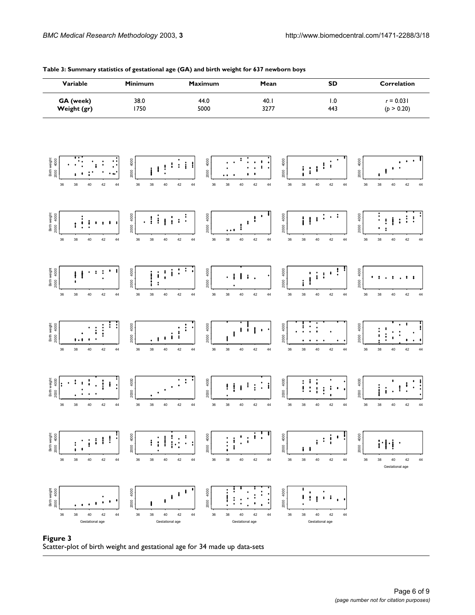<span id="page-5-1"></span>

| Minimum                                                                                                            | Maximum                                                                                    | Mean                                                                                                               | SD                                                                                                         | Correlation                                                                                                                                                                                  |
|--------------------------------------------------------------------------------------------------------------------|--------------------------------------------------------------------------------------------|--------------------------------------------------------------------------------------------------------------------|------------------------------------------------------------------------------------------------------------|----------------------------------------------------------------------------------------------------------------------------------------------------------------------------------------------|
| 38.0<br>1750                                                                                                       | 44.0<br>5000                                                                               | 40.1<br>3277                                                                                                       | 1.0<br>443                                                                                                 | $r = 0.031$<br>(p > 0.20)                                                                                                                                                                    |
| 2000 4000<br>$\circ$ $^{\circ}$<br>$\circ\bullet\circ$<br>$44\,$<br>$36\,$<br>38<br>40                             | 4000<br>$\ddot{\bullet}$<br>$\bullet$<br>2000<br>42<br>44<br>36                            | 2000 4000<br>8<br>$\bullet$<br>8<br>$\bullet$<br>$\bullet$<br>40<br>42<br>44<br>$36\,$                             | ို<br>8<br>$\ddot{\cdot}$<br>$40\,$<br>$42\,$<br>44                                                        | 4000<br>$\bullet$<br>2000<br>38<br>42<br>44<br>36<br>$40\,$                                                                                                                                  |
| 2000 4000<br>$\frac{8}{3}$<br>$\ddot{\bullet}$<br>$\bullet$<br>$36\,$<br>$44\,$<br>38<br>40                        | 2000 4000<br>$\ddot{\phantom{0}}\phantom{0}\phantom{0}$<br>$\bullet$<br>44<br>36<br>$42\,$ | 2000 4000<br>$\bullet$<br>42<br>40<br>44<br>$36\,$                                                                 | $\bullet$<br>$\hat{\bullet}$<br>$\bullet$<br>ŝ<br>42<br>40<br>44                                           | 2000 4000<br>$\overset{\circ}{\bullet}$<br>$\overset{8}{\circ}$<br>$\bullet$<br>$\ddot{\phantom{0}}$<br>$\ddot{\phantom{a}}$<br>$\mathbf{\hat{s}}$<br>$44\,$<br>36<br>38<br>$40\,$<br>$42\,$ |
| 2000 4000<br>Į<br>$\bullet$<br>$\frac{9}{8}$<br>$\overset{\mathtt{o}}{\mathtt{o}}$<br>38<br>$44\,$<br>$36\,$<br>40 | ះ<br>$\bullet$<br>2000 4000<br>44<br>$42\,$<br>$36\,$                                      | 2000 4000<br>$\ddot{\phantom{a}}$<br>$\bullet$<br>$\bullet$<br>42<br>$44\,$<br>$40\,$<br>$36\,$                    | ះ<br>ŝ<br>$\overset{\mathbf{8}}{•}$<br>8<br>$40\,$<br>$42\,$<br>44                                         | 2000 4000<br>8 <sub>8</sub><br>$40\,$<br>$\bf 44$<br>$36\,$<br>38<br>$42\,$                                                                                                                  |
| 2000 4000<br>-8<br>Å<br>$\bullet$<br>38<br>40<br>$44\,$<br>$36\,$                                                  | 4000<br>$\ddot{\phantom{0}}$<br>8<br>2000<br>8<br>42<br>44<br>$36\,$                       | 2000 4000<br>$\ddot{\mathbf{g}}$<br>8<br>$\bullet$<br>8<br>40<br>42<br>$36\,$<br>44                                | $\bullet$<br>$\bullet$<br>$\bullet$<br>$\bullet$<br>40<br>42<br>44                                         | 8<br>8<br>4000<br>g<br>2000<br>8<br>8<br>٠<br>$\bullet$<br>$\bullet$<br>44<br>38<br>$40\,$<br>$36\,$<br>$42\,$                                                                               |
| 2000 4000<br>۰<br>$44\,$<br>$36\,$<br>38<br>40                                                                     | 2000 4000<br>42<br>44<br>36                                                                | 2000 4000<br>$\overset{\mathtt{o}}{\mathtt{so}}$<br>š<br>$\ddot{\phantom{0}}$<br>$\bullet$<br>42<br>36<br>40<br>44 | 8<br>٠<br>٠<br>8<br>42<br>40<br>44                                                                         | 2000 4000<br>$\ddot{\cdot}$<br>۰<br>$\bullet$<br>$\theta$<br>$\bullet$<br>$44\,$<br>36<br>38<br>$42\,$<br>40                                                                                 |
| 4000<br>$\ddot{\bullet}$<br>2000<br>$36\,$<br>$44\,$<br>38<br>40                                                   | 4000<br>8<br>$\bullet$<br>$\degree$<br>2000<br>a<br>44<br>$36\,$<br>42                     | 4000<br>8<br>8<br>$\bullet$<br>$\bullet$<br>8<br>8<br>2000<br>å<br>40<br>$42\,$<br>$36\,$<br>44                    | 40<br>$42\,$<br>44                                                                                         | 4000<br>$\mathbf{i}$ $\mathbf{I}$<br>$\bullet$<br>2000<br>36<br>38<br>40<br>42<br>44<br>Gestational age                                                                                      |
| 2000 4000<br>1                                                                                                     | 4000<br>2000<br>42<br>44<br>36                                                             | 2000 4000<br>44<br>$36\,$<br>38<br>40<br>42                                                                        | 38<br>40<br>42<br>44                                                                                       |                                                                                                                                                                                              |
| 42<br>42<br>42<br>42<br>42<br>42                                                                                   |                                                                                            | $\bf{g}$<br>i                                                                                                      | 38<br>0 <sup>o</sup><br>38<br>$\bullet$<br>$38\,$<br>$_{\rm 38}$<br>38<br>$\bullet$<br>$\bullet$<br>$38\,$ | ů<br>38<br>i<br>$38\,$<br>$\stackrel{\circ}{\scriptstyle\bullet}$<br>$_{\rm 38}$<br>$\bullet$<br>38<br>ះ<br>38<br>$\mathbf{1}$<br>38<br>8                                                    |

<span id="page-5-0"></span>**Table 3: Summary statistics of gestational age (GA) and birth weight for 637 newborn boys**

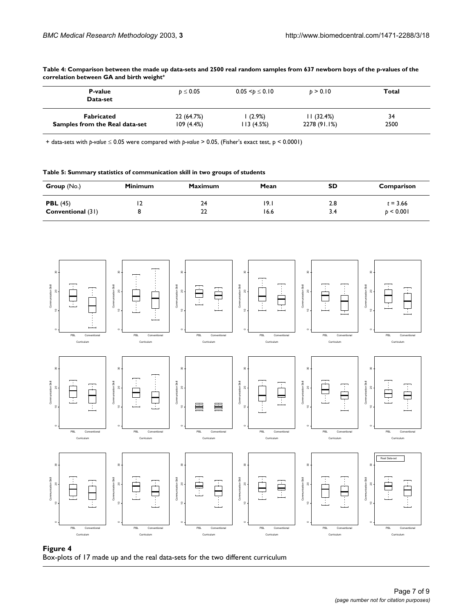<span id="page-6-0"></span>**Table 4: Comparison between the made up data-sets and 2500 real random samples from 637 newborn boys of the p-values of the correlation between GA and birth weight+**

| P-value<br>Data-set            | $p \leq 0.05$ | $0.05 \leq b \leq 0.10$ | p > 0.10     | Total |  |
|--------------------------------|---------------|-------------------------|--------------|-------|--|
| Fabricated                     | 22 (64.7%)    | l (2.9%)                | 11(32.4%)    | 34    |  |
| Samples from the Real data-set | 109(4.4%)     | 113(4.5%)               | 2278 (91.1%) | 2500  |  |

+ data-sets with *p-value* ≤ 0.05 were compared with *p-value* > 0.05, (Fisher's exact test, p < 0.0001)

<span id="page-6-1"></span>**Table 5: Summary statistics of communication skill in two groups of students**

| Group (No.)                            | <b>Minimum</b> | <b>Maximum</b> | Mean         | SD         | Comparison                  |
|----------------------------------------|----------------|----------------|--------------|------------|-----------------------------|
| PBL $(45)$<br><b>Conventional</b> (31) | 1 Z            | 24<br>າາ<br>22 | 19.1<br>16.6 | 2.8<br>3.4 | $t = 3.66$<br>$b \le 0.001$ |

<span id="page-6-2"></span>

Figure 4<br>Box-plots of 17 made up and the real data-sets for the two different curriculum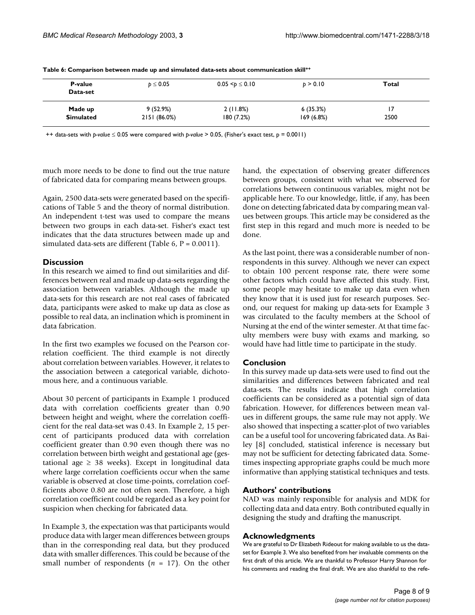| <b>P-value</b><br>Data-set | $p \leq 0.05$ | $0.05 \leq b \leq 0.10$ | p > 0.10  | Total |
|----------------------------|---------------|-------------------------|-----------|-------|
| Made up                    | 9(52.9%)      | 2(11.8%)                | 6(35.3%)  |       |
| <b>Simulated</b>           | 2151 (86.0%)  | 180(7.2%)               | 169(6.8%) | 2500  |

<span id="page-7-0"></span>**Table 6: Comparison between made up and simulated data-sets about communication skill++**

++ data-sets with *p-value* ≤ 0.05 were compared with *p-value* > 0.05, (Fisher's exact test, p = 0.0011)

much more needs to be done to find out the true nature of fabricated data for comparing means between groups.

Again, 2500 data-sets were generated based on the specifications of Table [5](#page-6-1) and the theory of normal distribution. An independent t-test was used to compare the means between two groups in each data-set. Fisher's exact test indicates that the data structures between made up and simulated data-sets are different (Table [6](#page-7-0), P = 0.0011).

### **Discussion**

In this research we aimed to find out similarities and differences between real and made up data-sets regarding the association between variables. Although the made up data-sets for this research are not real cases of fabricated data, participants were asked to make up data as close as possible to real data, an inclination which is prominent in data fabrication.

In the first two examples we focused on the Pearson correlation coefficient. The third example is not directly about correlation between variables. However, it relates to the association between a categorical variable, dichotomous here, and a continuous variable.

About 30 percent of participants in Example 1 produced data with correlation coefficients greater than 0.90 between height and weight, where the correlation coefficient for the real data-set was 0.43. In Example 2, 15 percent of participants produced data with correlation coefficient greater than 0.90 even though there was no correlation between birth weight and gestational age (gestational age  $\geq$  38 weeks). Except in longitudinal data where large correlation coefficients occur when the same variable is observed at close time-points, correlation coefficients above 0.80 are not often seen. Therefore, a high correlation coefficient could be regarded as a key point for suspicion when checking for fabricated data.

In Example 3, the expectation was that participants would produce data with larger mean differences between groups than in the corresponding real data, but they produced data with smaller differences. This could be because of the small number of respondents  $(n = 17)$ . On the other hand, the expectation of observing greater differences between groups, consistent with what we observed for correlations between continuous variables, might not be applicable here. To our knowledge, little, if any, has been done on detecting fabricated data by comparing mean values between groups. This article may be considered as the first step in this regard and much more is needed to be done.

As the last point, there was a considerable number of nonrespondents in this survey. Although we never can expect to obtain 100 percent response rate, there were some other factors which could have affected this study. First, some people may hesitate to make up data even when they know that it is used just for research purposes. Second, our request for making up data-sets for Example 3 was circulated to the faculty members at the School of Nursing at the end of the winter semester. At that time faculty members were busy with exams and marking, so would have had little time to participate in the study.

#### **Conclusion**

In this survey made up data-sets were used to find out the similarities and differences between fabricated and real data-sets. The results indicate that high correlation coefficients can be considered as a potential sign of data fabrication. However, for differences between mean values in different groups, the same rule may not apply. We also showed that inspecting a scatter-plot of two variables can be a useful tool for uncovering fabricated data. As Bailey [8] concluded, statistical inference is necessary but may not be sufficient for detecting fabricated data. Sometimes inspecting appropriate graphs could be much more informative than applying statistical techniques and tests.

# **Authors' contributions**

NAD was mainly responsible for analysis and MDK for collecting data and data entry. Both contributed equally in designing the study and drafting the manuscript.

#### **Acknowledgments**

We are grateful to Dr Elizabeth Rideout for making available to us the dataset for Example 3. We also benefited from her invaluable comments on the first draft of this article. We are thankful to Professor Harry Shannon for his comments and reading the final draft. We are also thankful to the refe